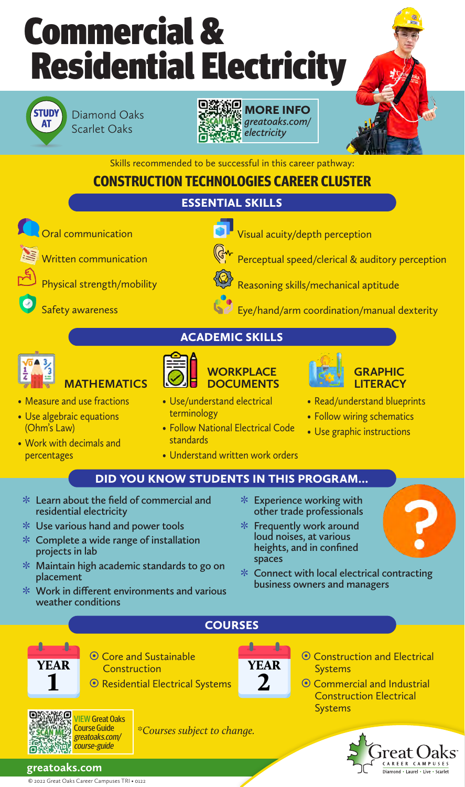



Diamond Oaks Scarlet Oaks





Skills recommended to be successful in this career pathway:

## **CONSTRUCTION TECHNOLOGIES CAREER CLUSTER**

## ESSENTIAL SKILLS



 $\bullet$ 

**MATHEMATICS** 

• Measure and use fractions

**Oral communication** 

Safety awareness

Written communication

Physical strength/mobility

- Use algebraic equations (Ohm's Law)
- Work with decimals and percentages

ACADEMIC SKILLS



# **DOCUMENTS** • Use/understand electrical

- terminology
- Follow National Electrical Code standards

**WORKPLACE** 

• Understand written work orders



Perceptual speed/clerical & auditory perception

Eye/hand/arm coordination/manual dexterity

Visual acuity/depth perception

Reasoning skills/mechanical aptitude



- Read/understand blueprints
- Follow wiring schematics
- Use graphic instructions

### DID YOU KNOW STUDENTS IN THIS PROGRAM…

- **ˍ Learn about the field of commercial and residential electricity**
- **ˍ Use various hand and power tools**
- **ˍ Complete a wide range of installation projects in lab**
- **ˍ Maintain high academic standards to go on placement**
- **ˍ Work in different environments and various weather conditions**
- **ˍ Experience working with other trade professionals**
- **ˍ Frequently work around loud noises, at various heights, and in confined spaces**
- **ˍ Connect with local electrical contracting business owners and managers**
- COURSES ۸ £ <sup>O</sup> Core and Sustainable <sup>O</sup> Construction and Electrical YEAR **Construction Systems** 2 ~ Residential Electrical Systems ~ Commercial and Industrial Construction Electrical Systems

*\*Courses subject to change.*



greatoaks.com/ course-guide

YEAR 1

**PANKO** 

Λ

**greatoaks.com**

© 2022 Great Oaks Career Campuses TRI • 0122

VIEW Great Oaks Course Guide